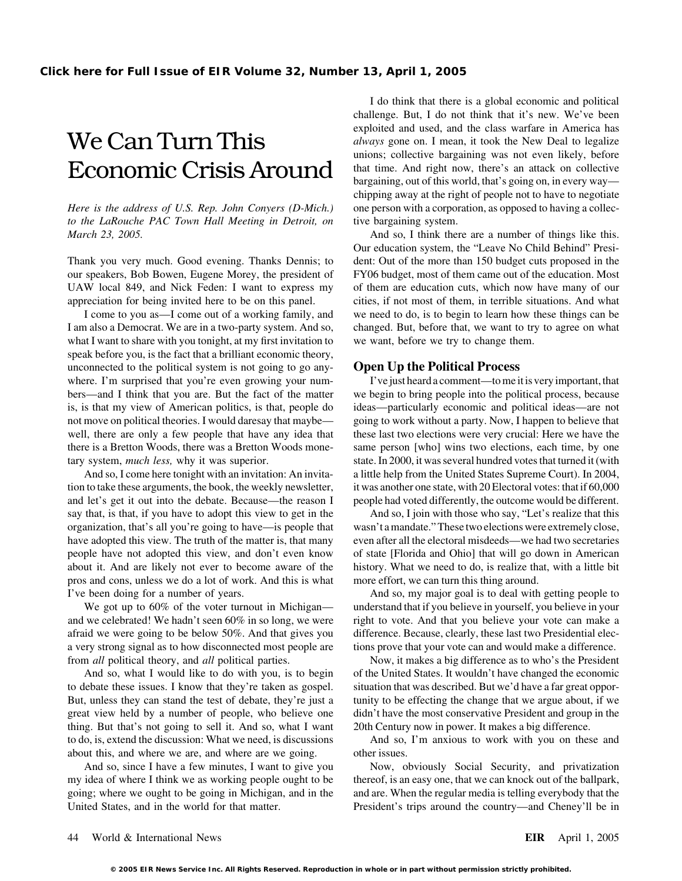# We Can Turn This *always* gone on. I mean, it took the New Deal to legalize

*Here is the address of U.S. Rep. John Conyers (D-Mich.)* one person with a corporation, as opposed to having a collec*to the LaRouche PAC Town Hall Meeting in Detroit, on* tive bargaining system. *March 23, 2005.* And so, I think there are a number of things like this.

I am also a Democrat. We are in a two-party system. And so, changed. But, before that, we want to try to agree on what what I want to share with you tonight, at my first invitation to we want, before we try to change them. speak before you, is the fact that a brilliant economic theory, unconnected to the political system is not going to go any- **Open Up the Political Process** where. I'm surprised that you're even growing your num-<br>I've just heard a comment—to me it is very important, that bers—and I think that you are. But the fact of the matter we begin to bring people into the political process, because is, is that my view of American politics, is that, people do ideas—particularly economic and political ideas—are not not move on political theories. I would daresay that maybe— going to work without a party. Now, I happen to believe that well, there are only a few people that have any idea that these last two elections were very crucial: Here we have the there is a Bretton Woods, there was a Bretton Woods mone- same person [who] wins two elections, each time, by one tary system, *much less*, why it was superior. state. In 2000, it was several hundred votes that turned it (with

tion to take these arguments, the book, the weekly newsletter, it was another one state, with 20 Electoral votes: that if 60,000 and let's get it out into the debate. Because—the reason I people had voted differently, the outcome would be different. say that, is that, if you have to adopt this view to get in the And so, I join with those who say, "Let's realize that this organization, that's all you're going to have—is people that wasn't a mandate." These two elections were extremely close, have adopted this view. The truth of the matter is, that many even after all the electoral misdeeds—we had two secretaries people have not adopted this view, and don't even know of state [Florida and Ohio] that will go down in American about it. And are likely not ever to become aware of the history. What we need to do, is realize that, with a little bit pros and cons, unless we do a lot of work. And this is what more effort, we can turn this thing around. I've been doing for a number of years. And so, my major goal is to deal with getting people to

and we celebrated! We hadn't seen 60% in so long, we were right to vote. And that you believe your vote can make a afraid we were going to be below 50%. And that gives you difference. Because, clearly, these last two Presidential eleca very strong signal as to how disconnected most people are tions prove that your vote can and would make a difference. from *all* political theory, and *all* political parties. Now, it makes a big difference as to who's the President

to debate these issues. I know that they're taken as gospel. situation that was described. But we'd have a far great oppor-But, unless they can stand the test of debate, they're just a tunity to be effecting the change that we argue about, if we great view held by a number of people, who believe one didn't have the most conservative President and group in the thing. But that's not going to sell it. And so, what I want 20th Century now in power. It makes a big difference. to do, is, extend the discussion: What we need, is discussions And so, I'm anxious to work with you on these and about this, and where we are, and where are we going. other issues.

my idea of where I think we as working people ought to be thereof, is an easy one, that we can knock out of the ballpark, going; where we ought to be going in Michigan, and in the and are. When the regular media is telling everybody that the United States, and in the world for that matter. President's trips around the country—and Cheney'll be in

I do think that there is a global economic and political challenge. But, I do not think that it's new. We've been exploited and used, and the class warfare in America has unions; collective bargaining was not even likely, before Economic Crisis Around that time. And right now, there's an attack on collective bargaining, out of this world, that's going on, in every way chipping away at the right of people not to have to negotiate

Our education system, the "Leave No Child Behind" Presi-Thank you very much. Good evening. Thanks Dennis; to dent: Out of the more than 150 budget cuts proposed in the our speakers, Bob Bowen, Eugene Morey, the president of FY06 budget, most of them came out of the education. Most UAW local 849, and Nick Feden: I want to express my of them are education cuts, which now have many of our appreciation for being invited here to be on this panel. cities, if not most of them, in terrible situations. And what I come to you as—I come out of a working family, and we need to do, is to begin to learn how these things can be

And so, I come here tonight with an invitation: An invita- a little help from the United States Supreme Court). In 2004,

We got up to 60% of the voter turnout in Michigan— understand that if you believe in yourself, you believe in your

And so, what I would like to do with you, is to begin of the United States. It wouldn't have changed the economic

And so, since I have a few minutes, I want to give you Now, obviously Social Security, and privatization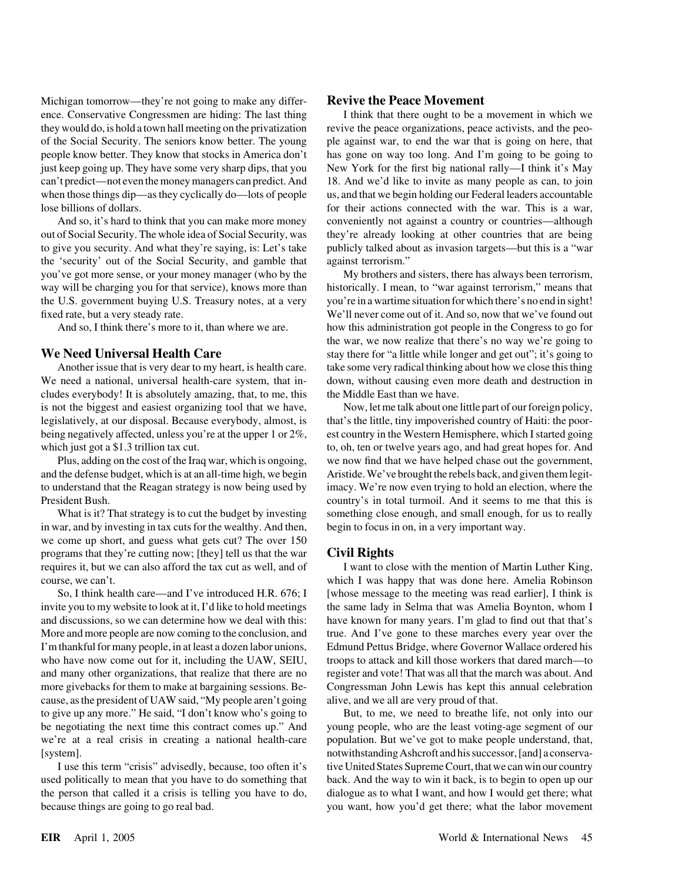Michigan tomorrow—they're not going to make any differ- **Revive the Peace Movement**

the 'security' out of the Social Security, and gamble that against terrorism." you've got more sense, or your money manager (who by the My brothers and sisters, there has always been terrorism, way will be charging you for that service), knows more than historically. I mean, to "war against terrorism," means that the U.S. government buying U.S. Treasury notes, at a very you're in a wartime situation for which there's no end in sight! fixed rate, but a very steady rate. We'll never come out of it. And so, now that we've found out

We need a national, universal health-care system, that in-<br>down, without causing even more death and destruction in cludes everybody! It is absolutely amazing, that, to me, this the Middle East than we have. is not the biggest and easiest organizing tool that we have, Now, let me talk about one little part of our foreign policy, legislatively, at our disposal. Because everybody, almost, is that's the little, tiny impoverished country of Haiti: the poorbeing negatively affected, unless you're at the upper 1 or 2%, est country in the Western Hemisphere, which I started going which just got a \$1.3 trillion tax cut. to, oh, ten or twelve years ago, and had great hopes for. And

in war, and by investing in tax cuts for the wealthy. And then, begin to focus in on, in a very important way. we come up short, and guess what gets cut? The over 150 programs that they're cutting now; [they] tell us that the war **Civil Rights** requires it, but we can also afford the tax cut as well, and of I want to close with the mention of Martin Luther King,

invite you to my website to look at it, I'd like to hold meetings the same lady in Selma that was Amelia Boynton, whom I and discussions, so we can determine how we deal with this: have known for many years. I'm glad to find out that that's More and more people are now coming to the conclusion, and true. And I've gone to these marches every year over the I'm thankful for many people, in at least a dozen labor unions, Edmund Pettus Bridge, where Governor Wallace ordered his who have now come out for it, including the UAW, SEIU, troops to attack and kill those workers that dared march—to and many other organizations, that realize that there are no register and vote! That was all that the march was about. And more givebacks for them to make at bargaining sessions. Be- Congressman John Lewis has kept this annual celebration cause, as the president of UAW said, "My people aren't going alive, and we all are very proud of that.

used politically to mean that you have to do something that back. And the way to win it back, is to begin to open up our the person that called it a crisis is telling you have to do, dialogue as to what I want, and how I would get there; what because things are going to go real bad. you want, how you'd get there; what the labor movement

ence. Conservative Congressmen are hiding: The last thing I think that there ought to be a movement in which we they would do, is hold a town hall meeting on the privatization revive the peace organizations, peace activists, and the peoof the Social Security. The seniors know better. The young ple against war, to end the war that is going on here, that people know better. They know that stocks in America don't has gone on way too long. And I'm going to be going to just keep going up. They have some very sharp dips, that you New York for the first big national rally—I think it's May can't predict—not even the money managers can predict. And 18. And we'd like to invite as many people as can, to join when those things dip—as they cyclically do—lots of people us, and that we begin holding our Federal leaders accountable lose billions of dollars. for their actions connected with the war. This is a war, And so, it's hard to think that you can make more money conveniently not against a country or countries—although out of Social Security. The whole idea of Social Security, was they're already looking at other countries that are being to give you security. And what they're saying, is: Let's take publicly talked about as invasion targets—but this is a "war

And so, I think there's more to it, than where we are. how this administration got people in the Congress to go for the war, we now realize that there's no way we're going to **We Need Universal Health Care** stay there for "a little while longer and get out"; it's going to Another issue that is very dear to my heart, is health care. take some very radical thinking about how we close this thing

Plus, adding on the cost of the Iraq war, which is ongoing, we now find that we have helped chase out the government, and the defense budget, which is at an all-time high, we begin Aristide. We've brought the rebels back, and given them legitto understand that the Reagan strategy is now being used by imacy. We're now even trying to hold an election, where the President Bush. country's in total turmoil. And it seems to me that this is What is it? That strategy is to cut the budget by investing something close enough, and small enough, for us to really

course, we can't. which I was happy that was done here. Amelia Robinson So, I think health care—and I've introduced H.R. 676; I [whose message to the meeting was read earlier], I think is

to give up any more." He said, "I don't know who's going to But, to me, we need to breathe life, not only into our be negotiating the next time this contract comes up." And young people, who are the least voting-age segment of our we're at a real crisis in creating a national health-care population. But we've got to make people understand, that, [system]. notwithstanding Ashcroft and his successor, [and] a conserva-I use this term "crisis" advisedly, because, too often it's tive United States Supreme Court, that we can win our country